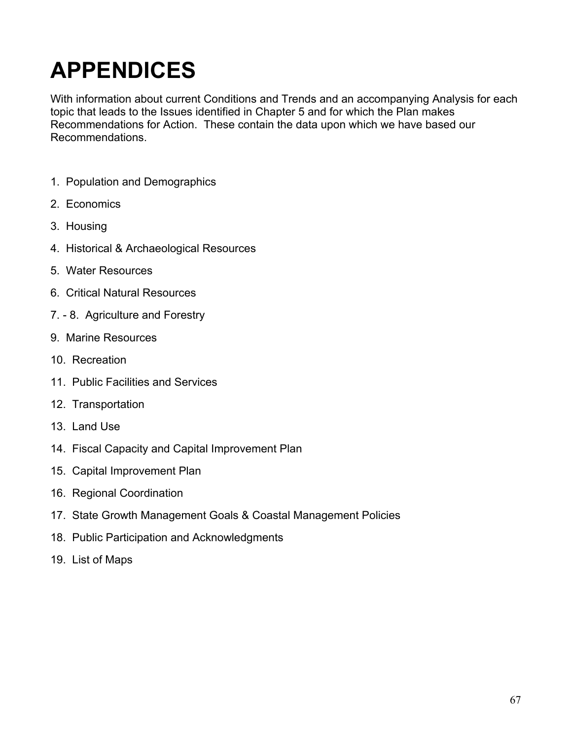# **APPENDICES**

With information about current Conditions and Trends and an accompanying Analysis for each topic that leads to the Issues identified in Chapter 5 and for which the Plan makes Recommendations for Action. These contain the data upon which we have based our Recommendations.

- 1. Population and Demographics
- 2. Economics
- 3. Housing
- 4. Historical & Archaeological Resources
- 5. Water Resources
- 6. Critical Natural Resources
- 7. 8. Agriculture and Forestry
- 9. Marine Resources
- 10. Recreation
- 11. Public Facilities and Services
- 12. Transportation
- 13. Land Use
- 14. Fiscal Capacity and Capital Improvement Plan
- 15. Capital Improvement Plan
- 16. Regional Coordination
- 17. State Growth Management Goals & Coastal Management Policies
- 18. Public Participation and Acknowledgments
- 19. List of Maps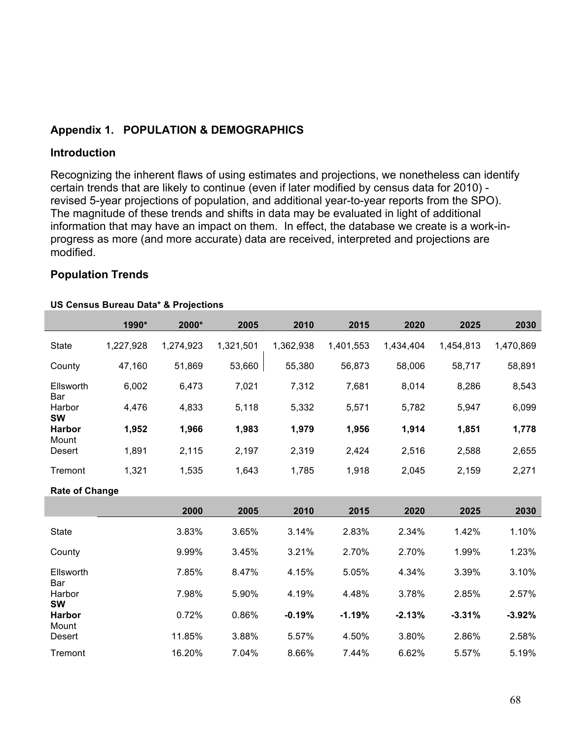## **Appendix 1. POPULATION & DEMOGRAPHICS**

#### **Introduction**

Recognizing the inherent flaws of using estimates and projections, we nonetheless can identify certain trends that are likely to continue (even if later modified by census data for 2010) revised 5-year projections of population, and additional year-to-year reports from the SPO). The magnitude of these trends and shifts in data may be evaluated in light of additional information that may have an impact on them. In effect, the database we create is a work-inprogress as more (and more accurate) data are received, interpreted and projections are modified.

#### **Population Trends**

#### **US Census Bureau Data\* & Projections**

|                       | 1990*     | 2000*     | 2005      | 2010      | 2015      | 2020      | 2025      | 2030      |
|-----------------------|-----------|-----------|-----------|-----------|-----------|-----------|-----------|-----------|
| <b>State</b>          | 1,227,928 | 1,274,923 | 1,321,501 | 1,362,938 | 1,401,553 | 1,434,404 | 1,454,813 | 1,470,869 |
| County                | 47,160    | 51,869    | 53,660    | 55,380    | 56,873    | 58,006    | 58,717    | 58,891    |
| Ellsworth<br>Bar      | 6,002     | 6,473     | 7,021     | 7,312     | 7,681     | 8,014     | 8,286     | 8,543     |
| Harbor<br><b>SW</b>   | 4,476     | 4,833     | 5,118     | 5,332     | 5,571     | 5,782     | 5,947     | 6,099     |
| <b>Harbor</b>         | 1,952     | 1,966     | 1,983     | 1,979     | 1,956     | 1,914     | 1,851     | 1,778     |
| Mount<br>Desert       | 1,891     | 2,115     | 2,197     | 2,319     | 2,424     | 2,516     | 2,588     | 2,655     |
| Tremont               | 1,321     | 1,535     | 1,643     | 1,785     | 1,918     | 2,045     | 2,159     | 2,271     |
| <b>Rate of Change</b> |           |           |           |           |           |           |           |           |
|                       |           | 2000      | 2005      | 2010      | 2015      | 2020      | 2025      | 2030      |
| <b>State</b>          |           | 3.83%     | 3.65%     | 3.14%     | 2.83%     | 2.34%     | 1.42%     | 1.10%     |
| County                |           | 9.99%     | 3.45%     | 3.21%     | 2.70%     | 2.70%     | 1.99%     | 1.23%     |
| Ellsworth<br>Bar      |           | 7.85%     | 8.47%     | 4.15%     | 5.05%     | 4.34%     | 3.39%     | 3.10%     |
| Harbor<br><b>SW</b>   |           | 7.98%     | 5.90%     | 4.19%     | 4.48%     | 3.78%     | 2.85%     | 2.57%     |
| <b>Harbor</b>         |           | 0.72%     | 0.86%     | $-0.19%$  | $-1.19%$  | $-2.13%$  | $-3.31%$  | $-3.92%$  |
| Mount<br>Desert       |           | 11.85%    | 3.88%     | 5.57%     | 4.50%     | 3.80%     | 2.86%     | 2.58%     |
| Tremont               |           | 16.20%    | 7.04%     | 8.66%     | 7.44%     | 6.62%     | 5.57%     | 5.19%     |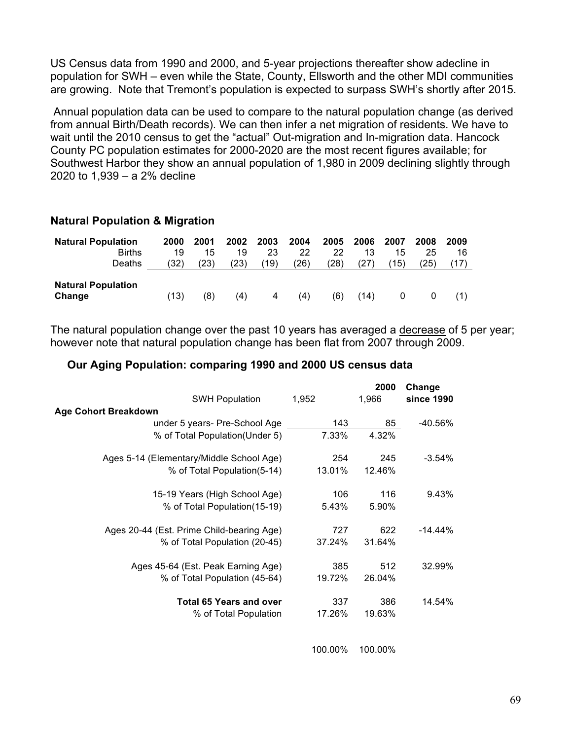US Census data from 1990 and 2000, and 5-year projections thereafter show adecline in population for SWH – even while the State, County, Ellsworth and the other MDI communities are growing. Note that Tremont's population is expected to surpass SWH's shortly after 2015.

Annual population data can be used to compare to the natural population change (as derived from annual Birth/Death records). We can then infer a net migration of residents. We have to wait until the 2010 census to get the "actual" Out-migration and In-migration data. Hancock County PC population estimates for 2000-2020 are the most recent figures available; for Southwest Harbor they show an annual population of 1,980 in 2009 declining slightly through 2020 to 1,939 – a 2% decline

#### **Natural Population & Migration**

| <b>Natural Population</b> | 2000 | 2001 | 2002 | 2003 | 2004 | 2005 | 2006 | 2007 | 2008 | 2009 |
|---------------------------|------|------|------|------|------|------|------|------|------|------|
| <b>Births</b>             | 19   | 15   | 19   | 23   | 22   | 22   | 13   | 15   | 25   | 16   |
| Deaths                    | (32) | (23) | (23) | (19) | (26) | (28) | (27) | (15) | (25) |      |
|                           |      |      |      |      |      |      |      |      |      |      |
| <b>Natural Population</b> |      |      |      |      |      |      |      |      |      |      |
| Change                    | (13) | (8)  | (4)  | 4    | (4)  | (6)  | (14) | 0    | 0    |      |

The natural population change over the past 10 years has averaged a decrease of 5 per year; however note that natural population change has been flat from 2007 through 2009.

#### **Our Aging Population: comparing 1990 and 2000 US census data**

|                                           |         | 2000    | Change     |
|-------------------------------------------|---------|---------|------------|
| <b>SWH Population</b>                     | 1,952   | 1,966   | since 1990 |
| <b>Age Cohort Breakdown</b>               |         |         |            |
| under 5 years- Pre-School Age             | 143     | 85      | $-40.56\%$ |
| % of Total Population(Under 5)            | 7.33%   | 4.32%   |            |
| Ages 5-14 (Elementary/Middle School Age)  | 254     | 245     | $-3.54%$   |
| % of Total Population(5-14)               | 13.01%  | 12.46%  |            |
| 15-19 Years (High School Age)             | 106     | 116     | 9.43%      |
| % of Total Population (15-19)             | 5.43%   | 5.90%   |            |
| Ages 20-44 (Est. Prime Child-bearing Age) | 727     | 622     | $-14.44%$  |
| % of Total Population (20-45)             | 37.24%  | 31.64%  |            |
| Ages 45-64 (Est. Peak Earning Age)        | 385     | 512     | 32.99%     |
| % of Total Population (45-64)             | 19.72%  | 26.04%  |            |
| <b>Total 65 Years and over</b>            | 337     | 386     | 14.54%     |
| % of Total Population                     | 17.26%  | 19.63%  |            |
|                                           |         |         |            |
|                                           | 100.00% | 100.00% |            |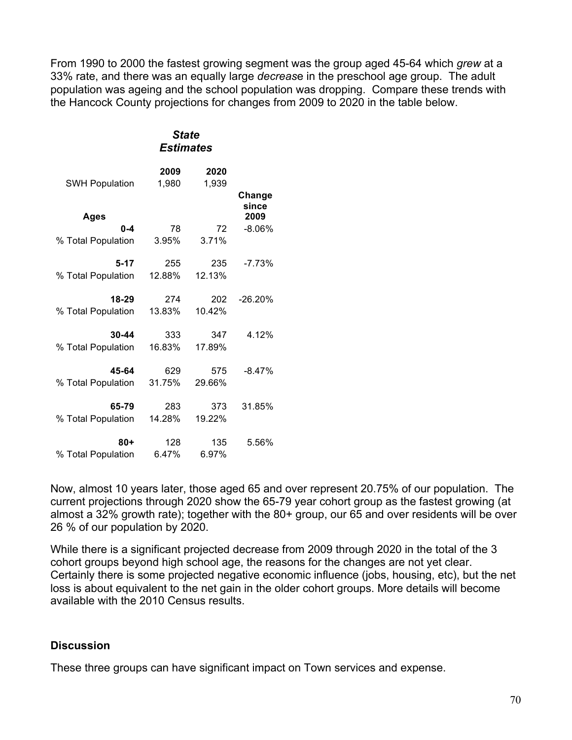From 1990 to 2000 the fastest growing segment was the group aged 45-64 which *grew* at a 33% rate, and there was an equally large *decreas*e in the preschool age group. The adult population was ageing and the school population was dropping. Compare these trends with the Hancock County projections for changes from 2009 to 2020 in the table below.

#### *State Estimates*

| <b>SWH Population</b> | 2009<br>1,980 | 2020<br>1,939 |                 |
|-----------------------|---------------|---------------|-----------------|
|                       |               |               | Change<br>since |
| <b>Ages</b>           |               |               | 2009            |
| $0 - 4$               | 78            | 72            | $-8.06%$        |
| % Total Population    | 3.95%         | 3.71%         |                 |
| $5 - 17$              | 255           | 235           | $-7.73%$        |
| % Total Population    | 12.88%        | 12.13%        |                 |
| 18-29                 | 274           | 202           | $-26.20%$       |
| % Total Population    | 13.83%        | 10.42%        |                 |
| 30-44                 | 333           | 347           | 4.12%           |
| % Total Population    | 16.83%        | 17.89%        |                 |
| 45-64                 | 629           | 575           | $-8.47%$        |
| % Total Population    | 31.75%        | 29.66%        |                 |
| 65-79                 | 283           | 373           | 31.85%          |
| % Total Population    | 14.28%        | 19.22%        |                 |
| 80+                   | 128           | 135           | 5.56%           |
| % Total Population    | 6.47%         | 6.97%         |                 |
|                       |               |               |                 |

Now, almost 10 years later, those aged 65 and over represent 20.75% of our population. The current projections through 2020 show the 65-79 year cohort group as the fastest growing (at almost a 32% growth rate); together with the 80+ group, our 65 and over residents will be over 26 % of our population by 2020.

While there is a significant projected decrease from 2009 through 2020 in the total of the 3 cohort groups beyond high school age, the reasons for the changes are not yet clear. Certainly there is some projected negative economic influence (jobs, housing, etc), but the net loss is about equivalent to the net gain in the older cohort groups. More details will become available with the 2010 Census results.

## **Discussion**

These three groups can have significant impact on Town services and expense.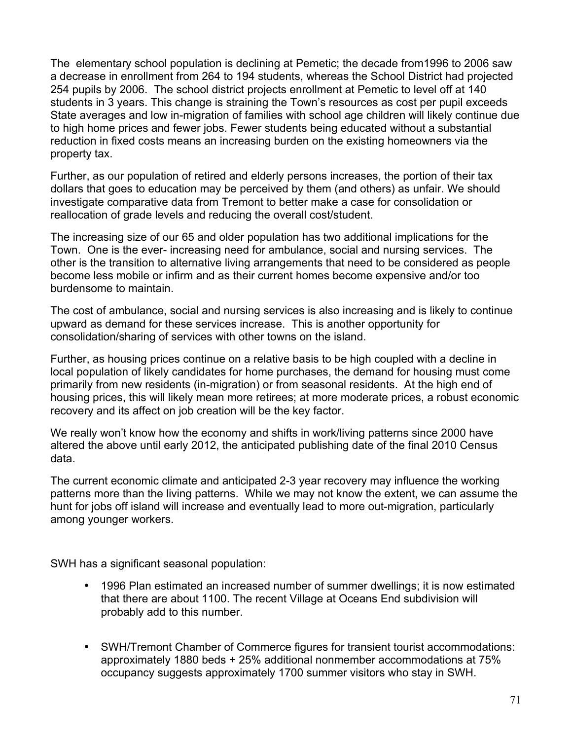The elementary school population is declining at Pemetic; the decade from1996 to 2006 saw a decrease in enrollment from 264 to 194 students, whereas the School District had projected 254 pupils by 2006. The school district projects enrollment at Pemetic to level off at 140 students in 3 years. This change is straining the Town's resources as cost per pupil exceeds State averages and low in-migration of families with school age children will likely continue due to high home prices and fewer jobs. Fewer students being educated without a substantial reduction in fixed costs means an increasing burden on the existing homeowners via the property tax.

Further, as our population of retired and elderly persons increases, the portion of their tax dollars that goes to education may be perceived by them (and others) as unfair. We should investigate comparative data from Tremont to better make a case for consolidation or reallocation of grade levels and reducing the overall cost/student.

The increasing size of our 65 and older population has two additional implications for the Town. One is the ever- increasing need for ambulance, social and nursing services. The other is the transition to alternative living arrangements that need to be considered as people become less mobile or infirm and as their current homes become expensive and/or too burdensome to maintain.

The cost of ambulance, social and nursing services is also increasing and is likely to continue upward as demand for these services increase. This is another opportunity for consolidation/sharing of services with other towns on the island.

Further, as housing prices continue on a relative basis to be high coupled with a decline in local population of likely candidates for home purchases, the demand for housing must come primarily from new residents (in-migration) or from seasonal residents. At the high end of housing prices, this will likely mean more retirees; at more moderate prices, a robust economic recovery and its affect on job creation will be the key factor.

We really won't know how the economy and shifts in work/living patterns since 2000 have altered the above until early 2012, the anticipated publishing date of the final 2010 Census data.

The current economic climate and anticipated 2-3 year recovery may influence the working patterns more than the living patterns. While we may not know the extent, we can assume the hunt for jobs off island will increase and eventually lead to more out-migration, particularly among younger workers.

SWH has a significant seasonal population:

- 1996 Plan estimated an increased number of summer dwellings; it is now estimated that there are about 1100. The recent Village at Oceans End subdivision will probably add to this number.
- SWH/Tremont Chamber of Commerce figures for transient tourist accommodations: approximately 1880 beds + 25% additional nonmember accommodations at 75% occupancy suggests approximately 1700 summer visitors who stay in SWH.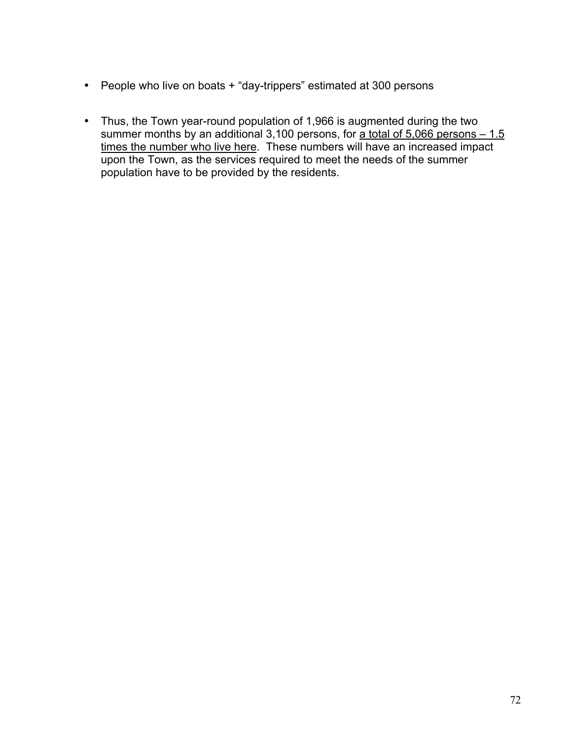- People who live on boats + "day-trippers" estimated at 300 persons
- Thus, the Town year-round population of 1,966 is augmented during the two summer months by an additional 3,100 persons, for a total of 5,066 persons – 1.5 times the number who live here. These numbers will have an increased impact upon the Town, as the services required to meet the needs of the summer population have to be provided by the residents.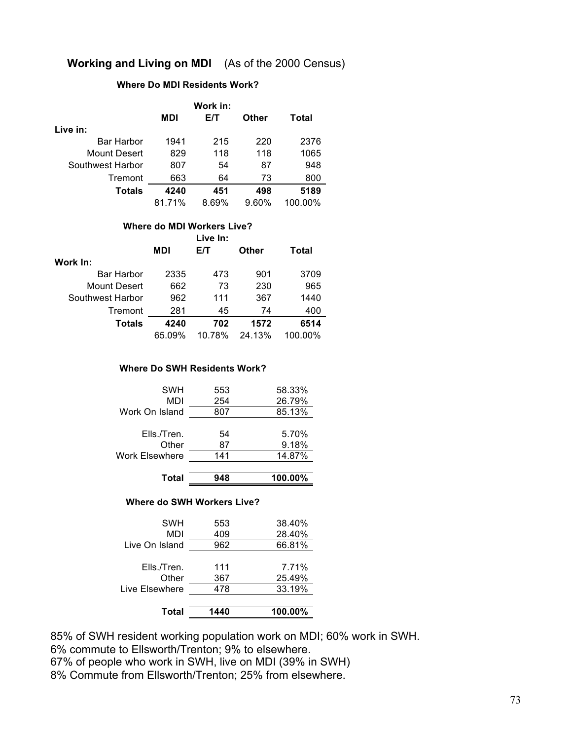## **Working and Living on MDI** (As of the 2000 Census)

#### **Where Do MDI Residents Work?**

|                  | Work in: |       |       |         |  |  |
|------------------|----------|-------|-------|---------|--|--|
|                  | MDI      | E/T   | Other | Total   |  |  |
| Live in:         |          |       |       |         |  |  |
| Bar Harbor       | 1941     | 215   | 220   | 2376    |  |  |
| Mount Desert     | 829      | 118   | 118   | 1065    |  |  |
| Southwest Harbor | 807      | 54    | 87    | 948     |  |  |
| Tremont          | 663      | 64    | 73    | 800     |  |  |
| Totals           | 4240     | 451   | 498   | 5189    |  |  |
|                  | 81.71%   | 8.69% | 9.60% | 100.00% |  |  |

#### **Where do MDI Workers Live?**

|                   |            | Live In: |        |         |
|-------------------|------------|----------|--------|---------|
|                   | <b>MDI</b> | E/T      | Other  | Total   |
| Work In:          |            |          |        |         |
| <b>Bar Harbor</b> | 2335       | 473      | 901    | 3709    |
| Mount Desert      | 662        | 73       | 230    | 965     |
| Southwest Harbor  | 962        | 111      | 367    | 1440    |
| Tremont           | 281        | 45       | 74     | 400     |
| <b>Totals</b>     | 4240       | 702      | 1572   | 6514    |
|                   | 65.09%     | 10.78%   | 24.13% | 100.00% |

#### **Where Do SWH Residents Work?**

| SWH<br>MDI            | 553<br>254 | 58.33%<br>26.79% |
|-----------------------|------------|------------------|
| Work On Island        | 807        | 85.13%           |
|                       |            |                  |
| Ells./Tren.           | 54         | 5.70%            |
| Other                 | 87         | 9.18%            |
| <b>Work Elsewhere</b> | 141        | 14.87%           |
|                       |            |                  |

| 100.00%<br>Total<br>948 |  |
|-------------------------|--|
|-------------------------|--|

#### **Where do SWH Workers Live?**

| 1440 | 100.00% |
|------|---------|
| 478  | 33.19%  |
| 367  | 25.49%  |
| 111  | 7.71%   |
| 962  | 66.81%  |
| 409  | 28.40%  |
| 553  | 38.40%  |
|      |         |

85% of SWH resident working population work on MDI; 60% work in SWH.

6% commute to Ellsworth/Trenton; 9% to elsewhere.

67% of people who work in SWH, live on MDI (39% in SWH)

8% Commute from Ellsworth/Trenton; 25% from elsewhere.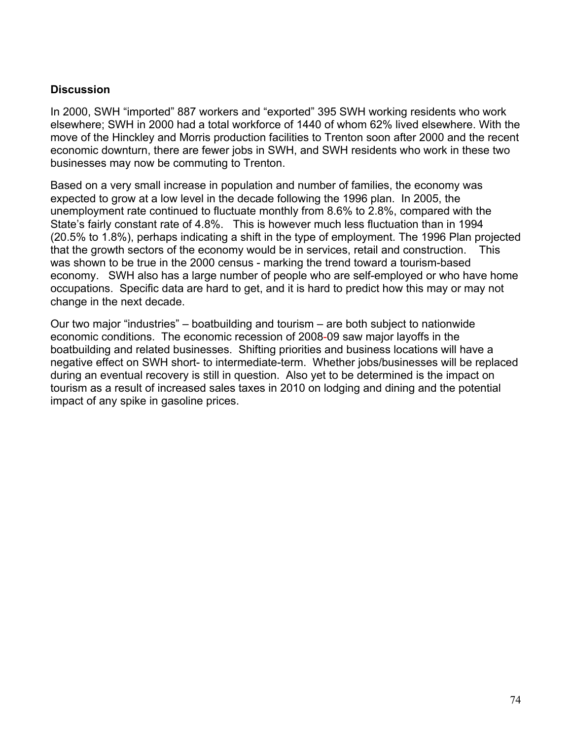#### **Discussion**

In 2000, SWH "imported" 887 workers and "exported" 395 SWH working residents who work elsewhere; SWH in 2000 had a total workforce of 1440 of whom 62% lived elsewhere. With the move of the Hinckley and Morris production facilities to Trenton soon after 2000 and the recent economic downturn, there are fewer jobs in SWH, and SWH residents who work in these two businesses may now be commuting to Trenton.

Based on a very small increase in population and number of families, the economy was expected to grow at a low level in the decade following the 1996 plan. In 2005, the unemployment rate continued to fluctuate monthly from 8.6% to 2.8%, compared with the State's fairly constant rate of 4.8%. This is however much less fluctuation than in 1994 (20.5% to 1.8%), perhaps indicating a shift in the type of employment. The 1996 Plan projected that the growth sectors of the economy would be in services, retail and construction. This was shown to be true in the 2000 census - marking the trend toward a tourism-based economy. SWH also has a large number of people who are self-employed or who have home occupations. Specific data are hard to get, and it is hard to predict how this may or may not change in the next decade.

Our two major "industries" – boatbuilding and tourism – are both subject to nationwide economic conditions. The economic recession of 2008-09 saw major layoffs in the boatbuilding and related businesses. Shifting priorities and business locations will have a negative effect on SWH short- to intermediate-term. Whether jobs/businesses will be replaced during an eventual recovery is still in question. Also yet to be determined is the impact on tourism as a result of increased sales taxes in 2010 on lodging and dining and the potential impact of any spike in gasoline prices.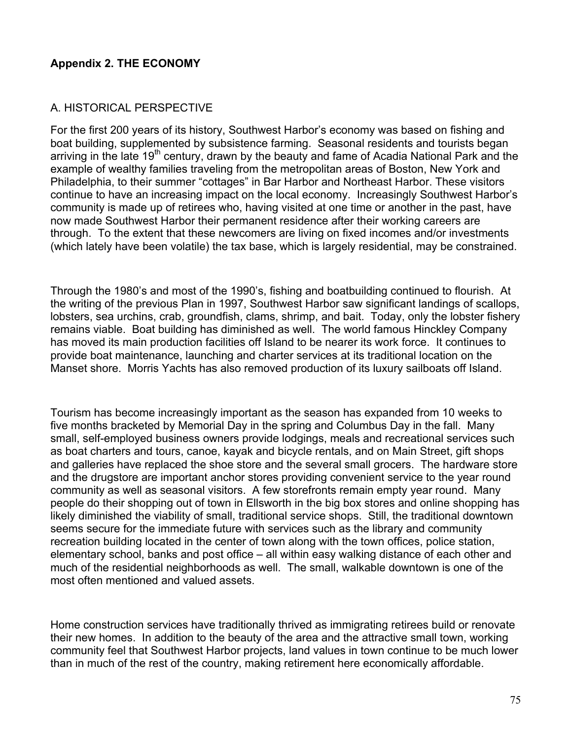### **Appendix 2. THE ECONOMY**

#### A. HISTORICAL PERSPECTIVE

For the first 200 years of its history, Southwest Harbor's economy was based on fishing and boat building, supplemented by subsistence farming. Seasonal residents and tourists began arriving in the late 19<sup>th</sup> century, drawn by the beauty and fame of Acadia National Park and the example of wealthy families traveling from the metropolitan areas of Boston, New York and Philadelphia, to their summer "cottages" in Bar Harbor and Northeast Harbor. These visitors continue to have an increasing impact on the local economy. Increasingly Southwest Harbor's community is made up of retirees who, having visited at one time or another in the past, have now made Southwest Harbor their permanent residence after their working careers are through. To the extent that these newcomers are living on fixed incomes and/or investments (which lately have been volatile) the tax base, which is largely residential, may be constrained.

Through the 1980's and most of the 1990's, fishing and boatbuilding continued to flourish. At the writing of the previous Plan in 1997, Southwest Harbor saw significant landings of scallops, lobsters, sea urchins, crab, groundfish, clams, shrimp, and bait. Today, only the lobster fishery remains viable. Boat building has diminished as well. The world famous Hinckley Company has moved its main production facilities off Island to be nearer its work force. It continues to provide boat maintenance, launching and charter services at its traditional location on the Manset shore. Morris Yachts has also removed production of its luxury sailboats off Island.

Tourism has become increasingly important as the season has expanded from 10 weeks to five months bracketed by Memorial Day in the spring and Columbus Day in the fall. Many small, self-employed business owners provide lodgings, meals and recreational services such as boat charters and tours, canoe, kayak and bicycle rentals, and on Main Street, gift shops and galleries have replaced the shoe store and the several small grocers. The hardware store and the drugstore are important anchor stores providing convenient service to the year round community as well as seasonal visitors. A few storefronts remain empty year round. Many people do their shopping out of town in Ellsworth in the big box stores and online shopping has likely diminished the viability of small, traditional service shops. Still, the traditional downtown seems secure for the immediate future with services such as the library and community recreation building located in the center of town along with the town offices, police station, elementary school, banks and post office – all within easy walking distance of each other and much of the residential neighborhoods as well. The small, walkable downtown is one of the most often mentioned and valued assets.

Home construction services have traditionally thrived as immigrating retirees build or renovate their new homes. In addition to the beauty of the area and the attractive small town, working community feel that Southwest Harbor projects, land values in town continue to be much lower than in much of the rest of the country, making retirement here economically affordable.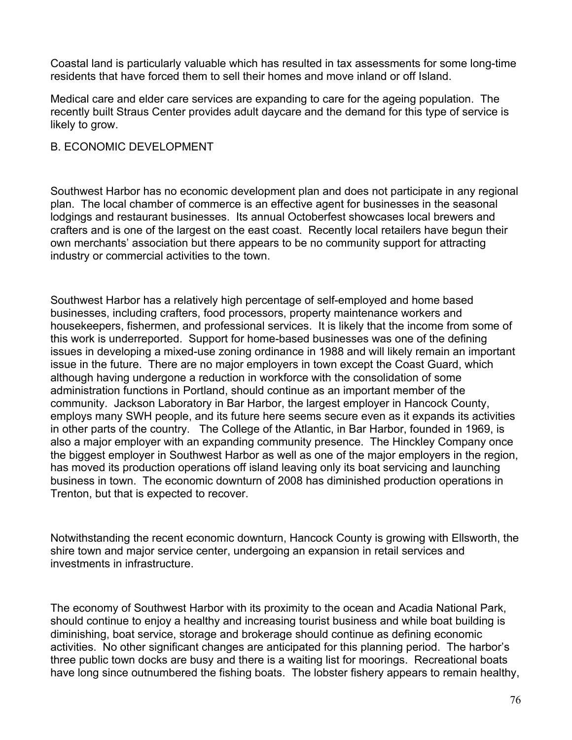Coastal land is particularly valuable which has resulted in tax assessments for some long-time residents that have forced them to sell their homes and move inland or off Island.

Medical care and elder care services are expanding to care for the ageing population. The recently built Straus Center provides adult daycare and the demand for this type of service is likely to grow.

#### B. ECONOMIC DEVELOPMENT

Southwest Harbor has no economic development plan and does not participate in any regional plan. The local chamber of commerce is an effective agent for businesses in the seasonal lodgings and restaurant businesses. Its annual Octoberfest showcases local brewers and crafters and is one of the largest on the east coast. Recently local retailers have begun their own merchants' association but there appears to be no community support for attracting industry or commercial activities to the town.

Southwest Harbor has a relatively high percentage of self-employed and home based businesses, including crafters, food processors, property maintenance workers and housekeepers, fishermen, and professional services. It is likely that the income from some of this work is underreported. Support for home-based businesses was one of the defining issues in developing a mixed-use zoning ordinance in 1988 and will likely remain an important issue in the future. There are no major employers in town except the Coast Guard, which although having undergone a reduction in workforce with the consolidation of some administration functions in Portland, should continue as an important member of the community. Jackson Laboratory in Bar Harbor, the largest employer in Hancock County, employs many SWH people, and its future here seems secure even as it expands its activities in other parts of the country. The College of the Atlantic, in Bar Harbor, founded in 1969, is also a major employer with an expanding community presence. The Hinckley Company once the biggest employer in Southwest Harbor as well as one of the major employers in the region, has moved its production operations off island leaving only its boat servicing and launching business in town. The economic downturn of 2008 has diminished production operations in Trenton, but that is expected to recover.

Notwithstanding the recent economic downturn, Hancock County is growing with Ellsworth, the shire town and major service center, undergoing an expansion in retail services and investments in infrastructure.

The economy of Southwest Harbor with its proximity to the ocean and Acadia National Park, should continue to enjoy a healthy and increasing tourist business and while boat building is diminishing, boat service, storage and brokerage should continue as defining economic activities. No other significant changes are anticipated for this planning period. The harbor's three public town docks are busy and there is a waiting list for moorings. Recreational boats have long since outnumbered the fishing boats. The lobster fishery appears to remain healthy,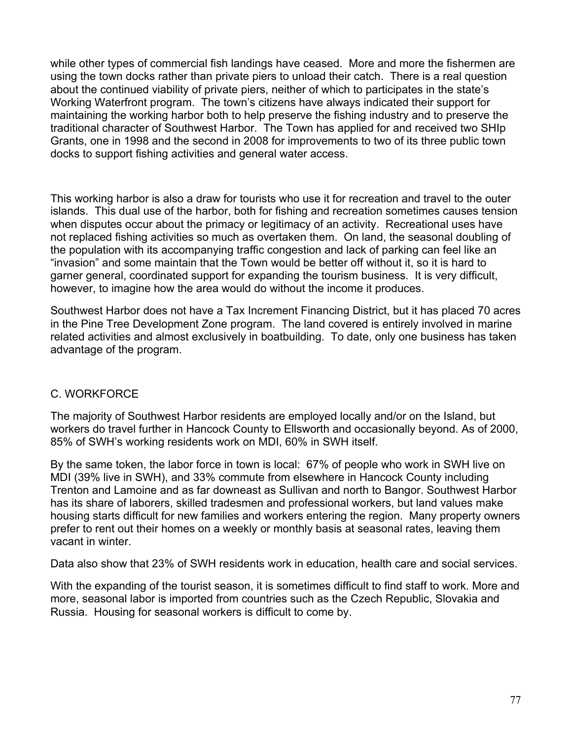while other types of commercial fish landings have ceased. More and more the fishermen are using the town docks rather than private piers to unload their catch. There is a real question about the continued viability of private piers, neither of which to participates in the state's Working Waterfront program. The town's citizens have always indicated their support for maintaining the working harbor both to help preserve the fishing industry and to preserve the traditional character of Southwest Harbor. The Town has applied for and received two SHIp Grants, one in 1998 and the second in 2008 for improvements to two of its three public town docks to support fishing activities and general water access.

This working harbor is also a draw for tourists who use it for recreation and travel to the outer islands. This dual use of the harbor, both for fishing and recreation sometimes causes tension when disputes occur about the primacy or legitimacy of an activity. Recreational uses have not replaced fishing activities so much as overtaken them. On land, the seasonal doubling of the population with its accompanying traffic congestion and lack of parking can feel like an "invasion" and some maintain that the Town would be better off without it, so it is hard to garner general, coordinated support for expanding the tourism business. It is very difficult, however, to imagine how the area would do without the income it produces.

Southwest Harbor does not have a Tax Increment Financing District, but it has placed 70 acres in the Pine Tree Development Zone program. The land covered is entirely involved in marine related activities and almost exclusively in boatbuilding. To date, only one business has taken advantage of the program.

## C. WORKFORCE

The majority of Southwest Harbor residents are employed locally and/or on the Island, but workers do travel further in Hancock County to Ellsworth and occasionally beyond. As of 2000, 85% of SWH's working residents work on MDI, 60% in SWH itself.

By the same token, the labor force in town is local: 67% of people who work in SWH live on MDI (39% live in SWH), and 33% commute from elsewhere in Hancock County including Trenton and Lamoine and as far downeast as Sullivan and north to Bangor. Southwest Harbor has its share of laborers, skilled tradesmen and professional workers, but land values make housing starts difficult for new families and workers entering the region. Many property owners prefer to rent out their homes on a weekly or monthly basis at seasonal rates, leaving them vacant in winter.

Data also show that 23% of SWH residents work in education, health care and social services.

With the expanding of the tourist season, it is sometimes difficult to find staff to work. More and more, seasonal labor is imported from countries such as the Czech Republic, Slovakia and Russia. Housing for seasonal workers is difficult to come by.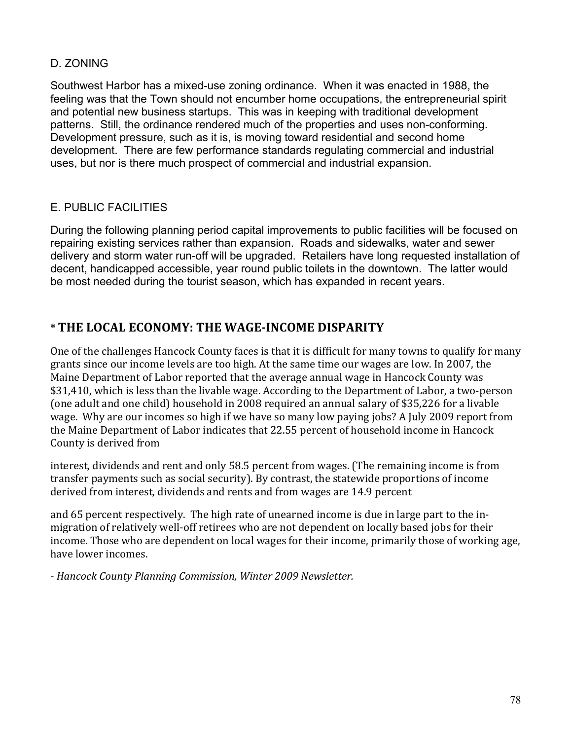## D. ZONING

Southwest Harbor has a mixed-use zoning ordinance. When it was enacted in 1988, the feeling was that the Town should not encumber home occupations, the entrepreneurial spirit and potential new business startups. This was in keeping with traditional development patterns. Still, the ordinance rendered much of the properties and uses non-conforming. Development pressure, such as it is, is moving toward residential and second home development. There are few performance standards regulating commercial and industrial uses, but nor is there much prospect of commercial and industrial expansion.

## E. PUBLIC FACILITIES

During the following planning period capital improvements to public facilities will be focused on repairing existing services rather than expansion. Roads and sidewalks, water and sewer delivery and storm water run-off will be upgraded. Retailers have long requested installation of decent, handicapped accessible, year round public toilets in the downtown. The latter would be most needed during the tourist season, which has expanded in recent years.

## $*$  THE LOCAL ECONOMY: THE WAGE-INCOME DISPARITY

One of the challenges Hancock County faces is that it is difficult for many towns to qualify for many grants since our income levels are too high. At the same time our wages are low. In 2007, the Maine Department of Labor reported that the average annual wage in Hancock County was \$31,410, which is less than the livable wage. According to the Department of Labor, a two-person (one adult and one child) household in 2008 required an annual salary of \$35,226 for a livable wage. Why are our incomes so high if we have so many low paying jobs? A July 2009 report from the Maine Department of Labor indicates that 22.55 percent of household income in Hancock County is derived from

interest, dividends and rent and only 58.5 percent from wages. (The remaining income is from transfer payments such as social security). By contrast, the statewide proportions of income derived from interest, dividends and rents and from wages are 14.9 percent

and 65 percent respectively. The high rate of unearned income is due in large part to the inmigration of relatively well-off retirees who are not dependent on locally based jobs for their income. Those who are dependent on local wages for their income, primarily those of working age, have lower incomes.

*!"Hancock"County"Planning"Commission,"Winter"2009"Newsletter.*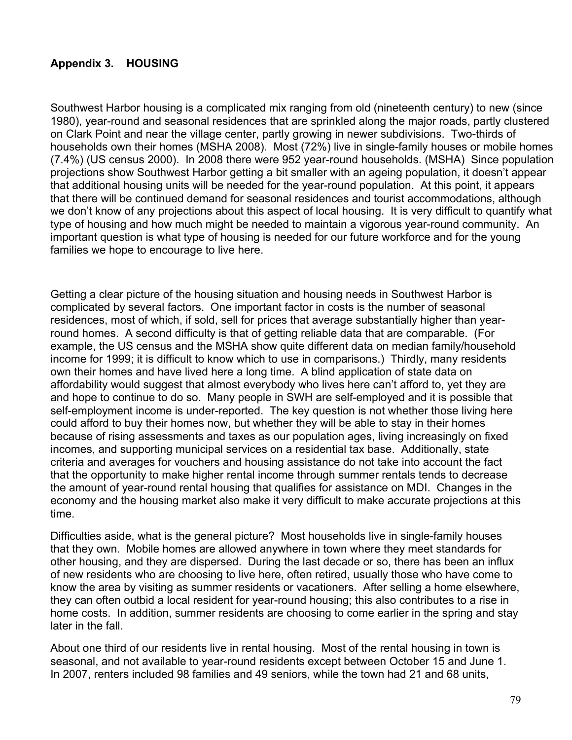## **Appendix 3. HOUSING**

Southwest Harbor housing is a complicated mix ranging from old (nineteenth century) to new (since 1980), year-round and seasonal residences that are sprinkled along the major roads, partly clustered on Clark Point and near the village center, partly growing in newer subdivisions. Two-thirds of households own their homes (MSHA 2008). Most (72%) live in single-family houses or mobile homes (7.4%) (US census 2000). In 2008 there were 952 year-round households. (MSHA) Since population projections show Southwest Harbor getting a bit smaller with an ageing population, it doesn't appear that additional housing units will be needed for the year-round population. At this point, it appears that there will be continued demand for seasonal residences and tourist accommodations, although we don't know of any projections about this aspect of local housing. It is very difficult to quantify what type of housing and how much might be needed to maintain a vigorous year-round community. An important question is what type of housing is needed for our future workforce and for the young families we hope to encourage to live here.

Getting a clear picture of the housing situation and housing needs in Southwest Harbor is complicated by several factors. One important factor in costs is the number of seasonal residences, most of which, if sold, sell for prices that average substantially higher than yearround homes. A second difficulty is that of getting reliable data that are comparable. (For example, the US census and the MSHA show quite different data on median family/household income for 1999; it is difficult to know which to use in comparisons.) Thirdly, many residents own their homes and have lived here a long time. A blind application of state data on affordability would suggest that almost everybody who lives here can't afford to, yet they are and hope to continue to do so. Many people in SWH are self-employed and it is possible that self-employment income is under-reported. The key question is not whether those living here could afford to buy their homes now, but whether they will be able to stay in their homes because of rising assessments and taxes as our population ages, living increasingly on fixed incomes, and supporting municipal services on a residential tax base. Additionally, state criteria and averages for vouchers and housing assistance do not take into account the fact that the opportunity to make higher rental income through summer rentals tends to decrease the amount of year-round rental housing that qualifies for assistance on MDI. Changes in the economy and the housing market also make it very difficult to make accurate projections at this time.

Difficulties aside, what is the general picture? Most households live in single-family houses that they own. Mobile homes are allowed anywhere in town where they meet standards for other housing, and they are dispersed. During the last decade or so, there has been an influx of new residents who are choosing to live here, often retired, usually those who have come to know the area by visiting as summer residents or vacationers. After selling a home elsewhere, they can often outbid a local resident for year-round housing; this also contributes to a rise in home costs. In addition, summer residents are choosing to come earlier in the spring and stay later in the fall.

About one third of our residents live in rental housing. Most of the rental housing in town is seasonal, and not available to year-round residents except between October 15 and June 1. In 2007, renters included 98 families and 49 seniors, while the town had 21 and 68 units,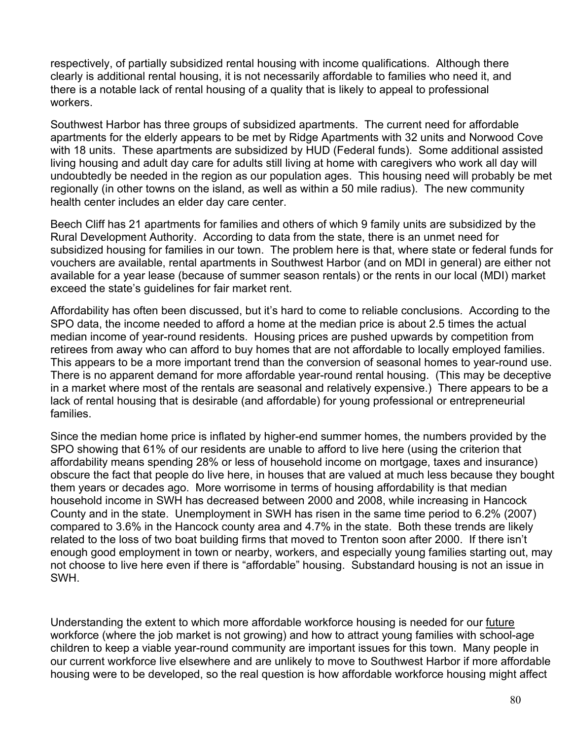respectively, of partially subsidized rental housing with income qualifications. Although there clearly is additional rental housing, it is not necessarily affordable to families who need it, and there is a notable lack of rental housing of a quality that is likely to appeal to professional workers.

Southwest Harbor has three groups of subsidized apartments. The current need for affordable apartments for the elderly appears to be met by Ridge Apartments with 32 units and Norwood Cove with 18 units. These apartments are subsidized by HUD (Federal funds). Some additional assisted living housing and adult day care for adults still living at home with caregivers who work all day will undoubtedly be needed in the region as our population ages. This housing need will probably be met regionally (in other towns on the island, as well as within a 50 mile radius). The new community health center includes an elder day care center.

Beech Cliff has 21 apartments for families and others of which 9 family units are subsidized by the Rural Development Authority. According to data from the state, there is an unmet need for subsidized housing for families in our town. The problem here is that, where state or federal funds for vouchers are available, rental apartments in Southwest Harbor (and on MDI in general) are either not available for a year lease (because of summer season rentals) or the rents in our local (MDI) market exceed the state's guidelines for fair market rent.

Affordability has often been discussed, but it's hard to come to reliable conclusions. According to the SPO data, the income needed to afford a home at the median price is about 2.5 times the actual median income of year-round residents. Housing prices are pushed upwards by competition from retirees from away who can afford to buy homes that are not affordable to locally employed families. This appears to be a more important trend than the conversion of seasonal homes to year-round use. There is no apparent demand for more affordable year-round rental housing. (This may be deceptive in a market where most of the rentals are seasonal and relatively expensive.) There appears to be a lack of rental housing that is desirable (and affordable) for young professional or entrepreneurial families.

Since the median home price is inflated by higher-end summer homes, the numbers provided by the SPO showing that 61% of our residents are unable to afford to live here (using the criterion that affordability means spending 28% or less of household income on mortgage, taxes and insurance) obscure the fact that people do live here, in houses that are valued at much less because they bought them years or decades ago. More worrisome in terms of housing affordability is that median household income in SWH has decreased between 2000 and 2008, while increasing in Hancock County and in the state. Unemployment in SWH has risen in the same time period to 6.2% (2007) compared to 3.6% in the Hancock county area and 4.7% in the state. Both these trends are likely related to the loss of two boat building firms that moved to Trenton soon after 2000. If there isn't enough good employment in town or nearby, workers, and especially young families starting out, may not choose to live here even if there is "affordable" housing. Substandard housing is not an issue in SWH.

Understanding the extent to which more affordable workforce housing is needed for our future workforce (where the job market is not growing) and how to attract young families with school-age children to keep a viable year-round community are important issues for this town. Many people in our current workforce live elsewhere and are unlikely to move to Southwest Harbor if more affordable housing were to be developed, so the real question is how affordable workforce housing might affect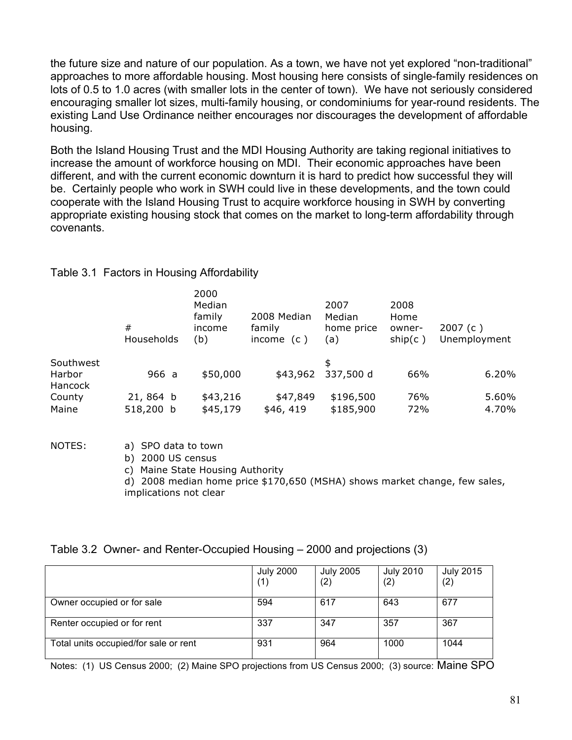the future size and nature of our population. As a town, we have not yet explored "non-traditional" approaches to more affordable housing. Most housing here consists of single-family residences on lots of 0.5 to 1.0 acres (with smaller lots in the center of town). We have not seriously considered encouraging smaller lot sizes, multi-family housing, or condominiums for year-round residents. The existing Land Use Ordinance neither encourages nor discourages the development of affordable housing.

Both the Island Housing Trust and the MDI Housing Authority are taking regional initiatives to increase the amount of workforce housing on MDI. Their economic approaches have been different, and with the current economic downturn it is hard to predict how successful they will be. Certainly people who work in SWH could live in these developments, and the town could cooperate with the Island Housing Trust to acquire workforce housing in SWH by converting appropriate existing housing stock that comes on the market to long-term affordability through covenants.

|                   | #<br>Households     | 2000<br>Median<br>family<br>income<br>(b) | 2008 Median<br>family<br>income $(c)$ | 2007<br>Median<br>home price<br>(a) | 2008<br>Home<br>owner-<br>ship(c) | 2007(c)<br>Unemployment |
|-------------------|---------------------|-------------------------------------------|---------------------------------------|-------------------------------------|-----------------------------------|-------------------------|
| Southwest         |                     |                                           |                                       | \$                                  |                                   |                         |
| Harbor<br>Hancock | 966 a               | \$50,000                                  | \$43,962                              | 337,500 d                           | 66%                               | 6.20%                   |
| County            | 21,864 b            | \$43,216                                  | \$47,849                              | \$196,500                           | 76%                               | 5.60%                   |
| Maine             | 518,200 b           | \$45,179                                  | \$46,419                              | \$185,900                           | 72%                               | 4.70%                   |
| NOTES:            | a) SPO data to town |                                           |                                       |                                     |                                   |                         |

#### Table 3.1 Factors in Housing Affordability

b) 2000 US census

c) Maine State Housing Authority

d) 2008 median home price \$170,650 (MSHA) shows market change, few sales, implications not clear

| Table 3.2 Owner- and Renter-Occupied Housing – 2000 and projections (3) |  |  |  |
|-------------------------------------------------------------------------|--|--|--|
|                                                                         |  |  |  |

|                                       | <b>July 2000</b><br>(1) | <b>July 2005</b><br>(2) | <b>July 2010</b><br>(2) | <b>July 2015</b><br>(2) |
|---------------------------------------|-------------------------|-------------------------|-------------------------|-------------------------|
| Owner occupied or for sale            | 594                     | 617                     | 643                     | 677                     |
| Renter occupied or for rent           | 337                     | 347                     | 357                     | 367                     |
| Total units occupied/for sale or rent | 931                     | 964                     | 1000                    | 1044                    |

Notes: (1) US Census 2000; (2) Maine SPO projections from US Census 2000; (3) source: Maine SPO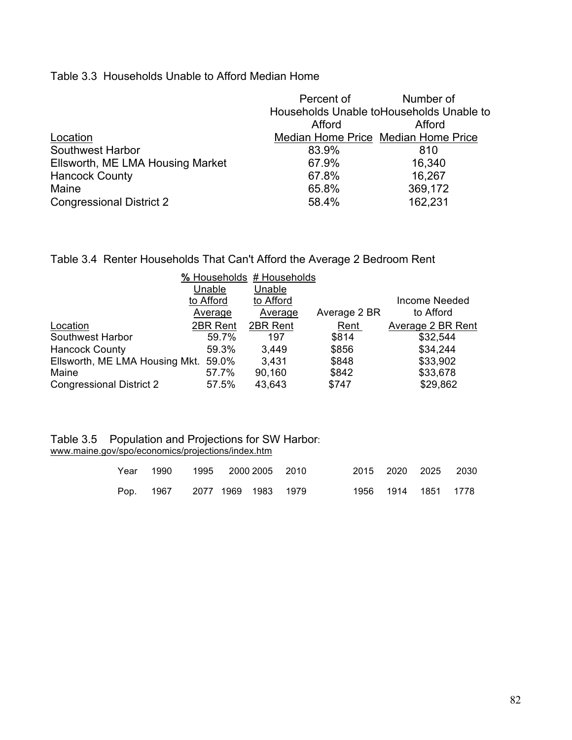Table 3.3 Households Unable to Afford Median Home

|                                  | Percent of                                | Number of                           |  |  |  |  |
|----------------------------------|-------------------------------------------|-------------------------------------|--|--|--|--|
|                                  | Households Unable to Households Unable to |                                     |  |  |  |  |
|                                  | Afford                                    | Afford                              |  |  |  |  |
| Location                         |                                           | Median Home Price Median Home Price |  |  |  |  |
| <b>Southwest Harbor</b>          | 83.9%                                     | 810                                 |  |  |  |  |
| Ellsworth, ME LMA Housing Market | 67.9%                                     | 16,340                              |  |  |  |  |
| <b>Hancock County</b>            | 67.8%                                     | 16,267                              |  |  |  |  |
| Maine                            | 65.8%                                     | 369,172                             |  |  |  |  |
| <b>Congressional District 2</b>  | 58.4%                                     | 162,231                             |  |  |  |  |

Table 3.4 Renter Households That Can't Afford the Average 2 Bedroom Rent

|                                      |           | % Households # Households |              |                      |
|--------------------------------------|-----------|---------------------------|--------------|----------------------|
|                                      | Unable    | Unable                    |              |                      |
|                                      | to Afford | to Afford                 |              | <b>Income Needed</b> |
|                                      | Average   | Average                   | Average 2 BR | to Afford            |
| Location                             | 2BR Rent  | 2BR Rent                  | Rent         | Average 2 BR Rent    |
| Southwest Harbor                     | 59.7%     | 197                       | \$814        | \$32,544             |
| <b>Hancock County</b>                | 59.3%     | 3,449                     | \$856        | \$34,244             |
| Ellsworth, ME LMA Housing Mkt. 59.0% |           | 3,431                     | \$848        | \$33,902             |
| Maine                                | 57.7%     | 90,160                    | \$842        | \$33,678             |
| <b>Congressional District 2</b>      | 57.5%     | 43,643                    | \$747        | \$29,862             |

#### Table 3.5 Population and Projections for SW Harbor: www.maine.gov/spo/economics/projections/index.htm

|  | Year 1990 | 1995 2000 2005 2010 |  |  |  | 2015 2020 2025 2030 |  |
|--|-----------|---------------------|--|--|--|---------------------|--|
|  | Pop. 1967 | 2077 1969 1983 1979 |  |  |  | 1956 1914 1851 1778 |  |